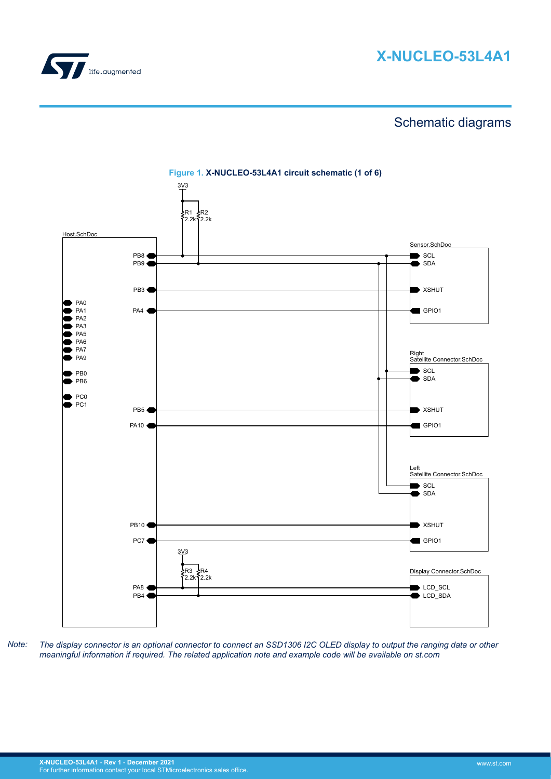

# **X-NUCLEO-53L4A1**

# Schematic diagrams



**Figure 1. X-NUCLEO-53L4A1 circuit schematic (1 of 6)**

*Note: The display connector is an optional connector to connect an SSD1306 I2C OLED display to output the ranging data or other meaningful information if required. The related application note and example code will be available on st.com*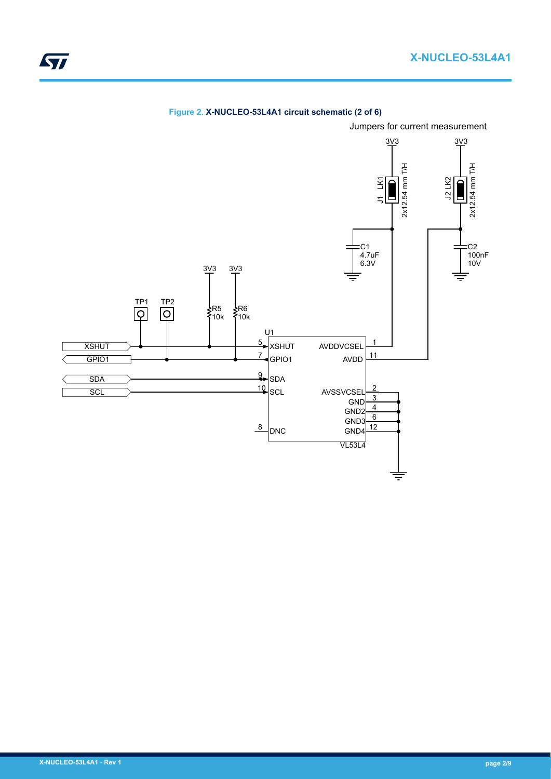

# **Figure 2. X-NUCLEO-53L4A1 circuit schematic (2 of 6)**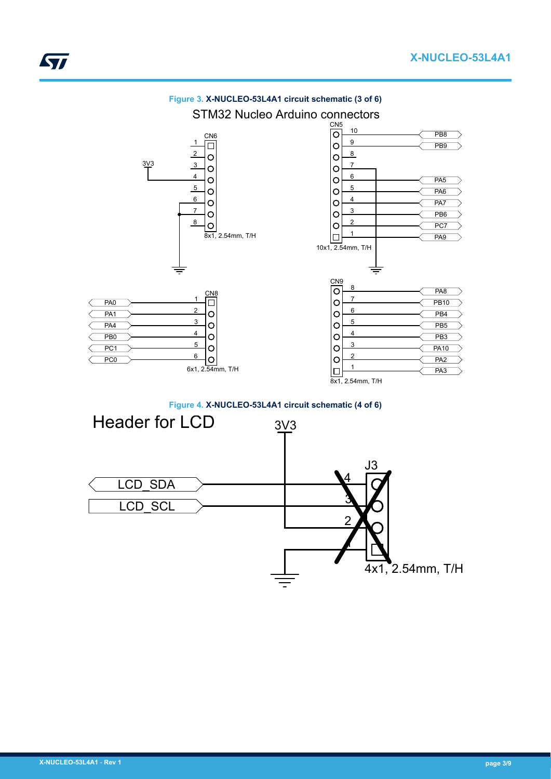

**Figure 3. X-NUCLEO-53L4A1 circuit schematic (3 of 6)**

**Figure 4. X-NUCLEO-53L4A1 circuit schematic (4 of 6)**

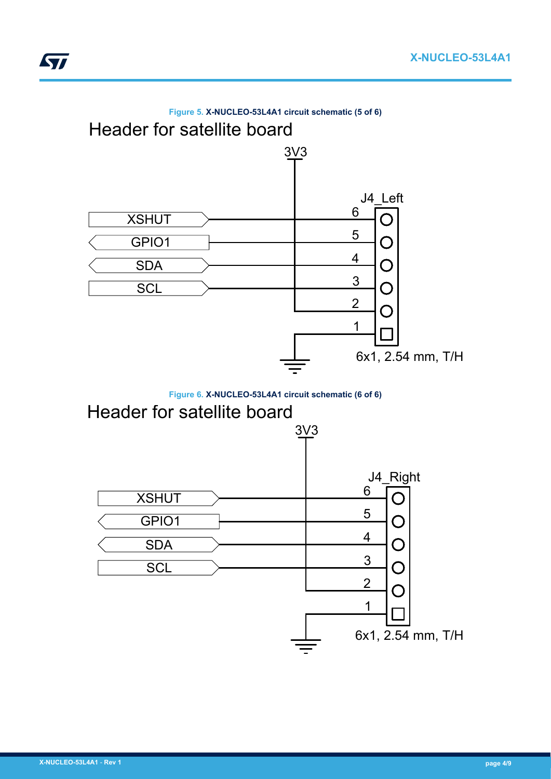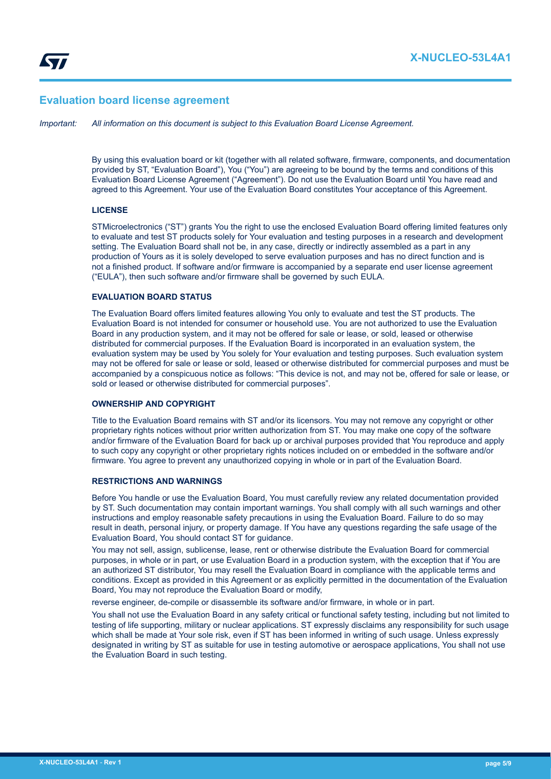# **Evaluation board license agreement**

*Important: All information on this document is subject to this Evaluation Board License Agreement.*

By using this evaluation board or kit (together with all related software, firmware, components, and documentation provided by ST, "Evaluation Board"), You ("You") are agreeing to be bound by the terms and conditions of this Evaluation Board License Agreement ("Agreement"). Do not use the Evaluation Board until You have read and agreed to this Agreement. Your use of the Evaluation Board constitutes Your acceptance of this Agreement.

#### **LICENSE**

STMicroelectronics ("ST") grants You the right to use the enclosed Evaluation Board offering limited features only to evaluate and test ST products solely for Your evaluation and testing purposes in a research and development setting. The Evaluation Board shall not be, in any case, directly or indirectly assembled as a part in any production of Yours as it is solely developed to serve evaluation purposes and has no direct function and is not a finished product. If software and/or firmware is accompanied by a separate end user license agreement ("EULA"), then such software and/or firmware shall be governed by such EULA.

# **EVALUATION BOARD STATUS**

The Evaluation Board offers limited features allowing You only to evaluate and test the ST products. The Evaluation Board is not intended for consumer or household use. You are not authorized to use the Evaluation Board in any production system, and it may not be offered for sale or lease, or sold, leased or otherwise distributed for commercial purposes. If the Evaluation Board is incorporated in an evaluation system, the evaluation system may be used by You solely for Your evaluation and testing purposes. Such evaluation system may not be offered for sale or lease or sold, leased or otherwise distributed for commercial purposes and must be accompanied by a conspicuous notice as follows: "This device is not, and may not be, offered for sale or lease, or sold or leased or otherwise distributed for commercial purposes".

# **OWNERSHIP AND COPYRIGHT**

Title to the Evaluation Board remains with ST and/or its licensors. You may not remove any copyright or other proprietary rights notices without prior written authorization from ST. You may make one copy of the software and/or firmware of the Evaluation Board for back up or archival purposes provided that You reproduce and apply to such copy any copyright or other proprietary rights notices included on or embedded in the software and/or firmware. You agree to prevent any unauthorized copying in whole or in part of the Evaluation Board.

#### **RESTRICTIONS AND WARNINGS**

Before You handle or use the Evaluation Board, You must carefully review any related documentation provided by ST. Such documentation may contain important warnings. You shall comply with all such warnings and other instructions and employ reasonable safety precautions in using the Evaluation Board. Failure to do so may result in death, personal injury, or property damage. If You have any questions regarding the safe usage of the Evaluation Board, You should contact ST for guidance.

You may not sell, assign, sublicense, lease, rent or otherwise distribute the Evaluation Board for commercial purposes, in whole or in part, or use Evaluation Board in a production system, with the exception that if You are an authorized ST distributor, You may resell the Evaluation Board in compliance with the applicable terms and conditions. Except as provided in this Agreement or as explicitly permitted in the documentation of the Evaluation Board, You may not reproduce the Evaluation Board or modify,

reverse engineer, de-compile or disassemble its software and/or firmware, in whole or in part.

You shall not use the Evaluation Board in any safety critical or functional safety testing, including but not limited to testing of life supporting, military or nuclear applications. ST expressly disclaims any responsibility for such usage which shall be made at Your sole risk, even if ST has been informed in writing of such usage. Unless expressly designated in writing by ST as suitable for use in testing automotive or aerospace applications, You shall not use the Evaluation Board in such testing.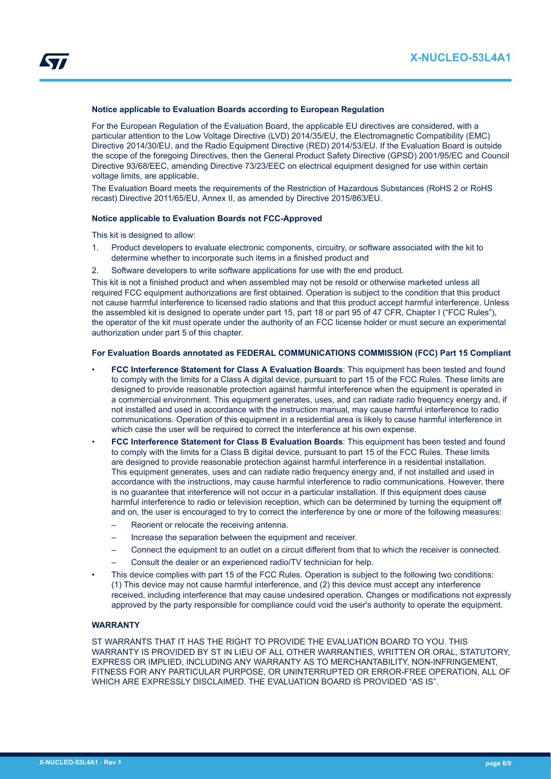# **Notice applicable to Evaluation Boards according to European Regulation**

For the European Regulation of the Evaluation Board, the applicable EU directives are considered, with a particular attention to the Low Voltage Directive (LVD) 2014/35/EU, the Electromagnetic Compatibility (EMC) Directive 2014/30/EU, and the Radio Equipment Directive (RED) 2014/53/EU. If the Evaluation Board is outside the scope of the foregoing Directives, then the General Product Safety Directive (GPSD) 2001/95/EC and Council Directive 93/68/EEC, amending Directive 73/23/EEC on electrical equipment designed for use within certain voltage limits, are applicable.

The Evaluation Board meets the requirements of the Restriction of Hazardous Substances (RoHS 2 or RoHS recast) Directive 2011/65/EU, Annex II, as amended by Directive 2015/863/EU.

## **Notice applicable to Evaluation Boards not FCC-Approved**

This kit is designed to allow:

- 1. Product developers to evaluate electronic components, circuitry, or software associated with the kit to determine whether to incorporate such items in a finished product and
- 2. Software developers to write software applications for use with the end product.

This kit is not a finished product and when assembled may not be resold or otherwise marketed unless all required FCC equipment authorizations are first obtained. Operation is subject to the condition that this product not cause harmful interference to licensed radio stations and that this product accept harmful interference. Unless the assembled kit is designed to operate under part 15, part 18 or part 95 of 47 CFR, Chapter I ("FCC Rules"), the operator of the kit must operate under the authority of an FCC license holder or must secure an experimental authorization under part 5 of this chapter.

#### **For Evaluation Boards annotated as FEDERAL COMMUNICATIONS COMMISSION (FCC) Part 15 Compliant**

- **FCC Interference Statement for Class A Evaluation Boards**: This equipment has been tested and found to comply with the limits for a Class A digital device, pursuant to part 15 of the FCC Rules. These limits are designed to provide reasonable protection against harmful interference when the equipment is operated in a commercial environment. This equipment generates, uses, and can radiate radio frequency energy and, if not installed and used in accordance with the instruction manual, may cause harmful interference to radio communications. Operation of this equipment in a residential area is likely to cause harmful interference in which case the user will be required to correct the interference at his own expense.
- **FCC Interference Statement for Class B Evaluation Boards**: This equipment has been tested and found to comply with the limits for a Class B digital device, pursuant to part 15 of the FCC Rules. These limits are designed to provide reasonable protection against harmful interference in a residential installation. This equipment generates, uses and can radiate radio frequency energy and, if not installed and used in accordance with the instructions, may cause harmful interference to radio communications. However, there is no guarantee that interference will not occur in a particular installation. If this equipment does cause harmful interference to radio or television reception, which can be determined by turning the equipment off and on, the user is encouraged to try to correct the interference by one or more of the following measures:
	- Reorient or relocate the receiving antenna.
	- Increase the separation between the equipment and receiver.
	- Connect the equipment to an outlet on a circuit different from that to which the receiver is connected.
	- Consult the dealer or an experienced radio/TV technician for help.
- This device complies with part 15 of the FCC Rules. Operation is subject to the following two conditions: (1) This device may not cause harmful interference, and (2) this device must accept any interference received, including interference that may cause undesired operation. Changes or modifications not expressly approved by the party responsible for compliance could void the user's authority to operate the equipment.

#### **WARRANTY**

ST WARRANTS THAT IT HAS THE RIGHT TO PROVIDE THE EVALUATION BOARD TO YOU. THIS WARRANTY IS PROVIDED BY ST IN LIEU OF ALL OTHER WARRANTIES, WRITTEN OR ORAL, STATUTORY, EXPRESS OR IMPLIED, INCLUDING ANY WARRANTY AS TO MERCHANTABILITY, NON-INFRINGEMENT, FITNESS FOR ANY PARTICULAR PURPOSE, OR UNINTERRUPTED OR ERROR-FREE OPERATION, ALL OF WHICH ARE EXPRESSLY DISCLAIMED. THE EVALUATION BOARD IS PROVIDED "AS IS".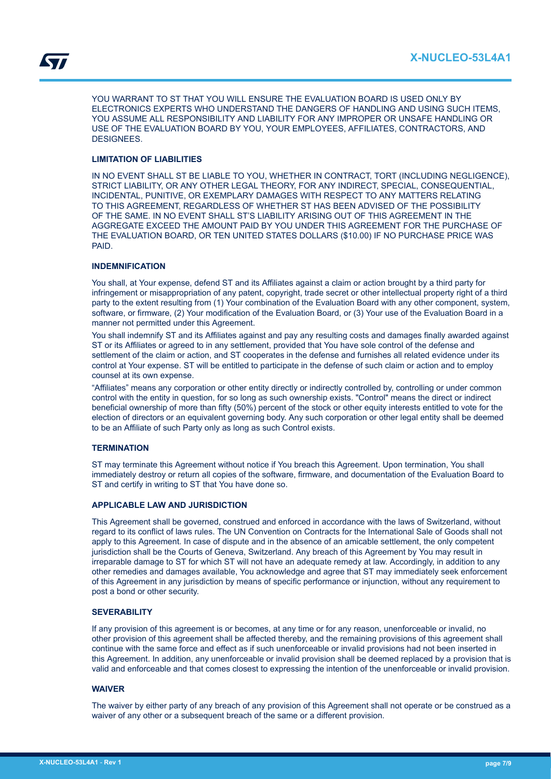YOU WARRANT TO ST THAT YOU WILL ENSURE THE EVALUATION BOARD IS USED ONLY BY ELECTRONICS EXPERTS WHO UNDERSTAND THE DANGERS OF HANDLING AND USING SUCH ITEMS, YOU ASSUME ALL RESPONSIBILITY AND LIABILITY FOR ANY IMPROPER OR UNSAFE HANDLING OR USE OF THE EVALUATION BOARD BY YOU, YOUR EMPLOYEES, AFFILIATES, CONTRACTORS, AND DESIGNEES.

# **LIMITATION OF LIABILITIES**

IN NO EVENT SHALL ST BE LIABLE TO YOU, WHETHER IN CONTRACT, TORT (INCLUDING NEGLIGENCE), STRICT LIABILITY, OR ANY OTHER LEGAL THEORY, FOR ANY INDIRECT, SPECIAL, CONSEQUENTIAL, INCIDENTAL, PUNITIVE, OR EXEMPLARY DAMAGES WITH RESPECT TO ANY MATTERS RELATING TO THIS AGREEMENT, REGARDLESS OF WHETHER ST HAS BEEN ADVISED OF THE POSSIBILITY OF THE SAME. IN NO EVENT SHALL ST'S LIABILITY ARISING OUT OF THIS AGREEMENT IN THE AGGREGATE EXCEED THE AMOUNT PAID BY YOU UNDER THIS AGREEMENT FOR THE PURCHASE OF THE EVALUATION BOARD, OR TEN UNITED STATES DOLLARS (\$10.00) IF NO PURCHASE PRICE WAS PAID.

# **INDEMNIFICATION**

You shall, at Your expense, defend ST and its Affiliates against a claim or action brought by a third party for infringement or misappropriation of any patent, copyright, trade secret or other intellectual property right of a third party to the extent resulting from (1) Your combination of the Evaluation Board with any other component, system, software, or firmware, (2) Your modification of the Evaluation Board, or (3) Your use of the Evaluation Board in a manner not permitted under this Agreement.

You shall indemnify ST and its Affiliates against and pay any resulting costs and damages finally awarded against ST or its Affiliates or agreed to in any settlement, provided that You have sole control of the defense and settlement of the claim or action, and ST cooperates in the defense and furnishes all related evidence under its control at Your expense. ST will be entitled to participate in the defense of such claim or action and to employ counsel at its own expense.

"Affiliates" means any corporation or other entity directly or indirectly controlled by, controlling or under common control with the entity in question, for so long as such ownership exists. "Control" means the direct or indirect beneficial ownership of more than fifty (50%) percent of the stock or other equity interests entitled to vote for the election of directors or an equivalent governing body. Any such corporation or other legal entity shall be deemed to be an Affiliate of such Party only as long as such Control exists.

# **TERMINATION**

ST may terminate this Agreement without notice if You breach this Agreement. Upon termination, You shall immediately destroy or return all copies of the software, firmware, and documentation of the Evaluation Board to ST and certify in writing to ST that You have done so.

#### **APPLICABLE LAW AND JURISDICTION**

This Agreement shall be governed, construed and enforced in accordance with the laws of Switzerland, without regard to its conflict of laws rules. The UN Convention on Contracts for the International Sale of Goods shall not apply to this Agreement. In case of dispute and in the absence of an amicable settlement, the only competent jurisdiction shall be the Courts of Geneva, Switzerland. Any breach of this Agreement by You may result in irreparable damage to ST for which ST will not have an adequate remedy at law. Accordingly, in addition to any other remedies and damages available, You acknowledge and agree that ST may immediately seek enforcement of this Agreement in any jurisdiction by means of specific performance or injunction, without any requirement to post a bond or other security.

# **SEVERABILITY**

If any provision of this agreement is or becomes, at any time or for any reason, unenforceable or invalid, no other provision of this agreement shall be affected thereby, and the remaining provisions of this agreement shall continue with the same force and effect as if such unenforceable or invalid provisions had not been inserted in this Agreement. In addition, any unenforceable or invalid provision shall be deemed replaced by a provision that is valid and enforceable and that comes closest to expressing the intention of the unenforceable or invalid provision.

#### **WAIVER**

The waiver by either party of any breach of any provision of this Agreement shall not operate or be construed as a waiver of any other or a subsequent breach of the same or a different provision.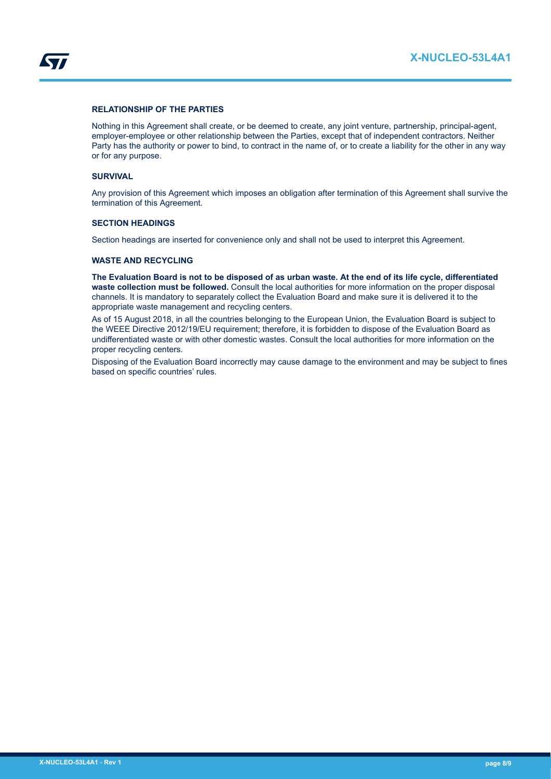

# **RELATIONSHIP OF THE PARTIES**

Nothing in this Agreement shall create, or be deemed to create, any joint venture, partnership, principal-agent, employer-employee or other relationship between the Parties, except that of independent contractors. Neither Party has the authority or power to bind, to contract in the name of, or to create a liability for the other in any way or for any purpose.

#### **SURVIVAL**

Any provision of this Agreement which imposes an obligation after termination of this Agreement shall survive the termination of this Agreement.

# **SECTION HEADINGS**

Section headings are inserted for convenience only and shall not be used to interpret this Agreement.

# **WASTE AND RECYCLING**

**The Evaluation Board is not to be disposed of as urban waste. At the end of its life cycle, differentiated waste collection must be followed.** Consult the local authorities for more information on the proper disposal channels. It is mandatory to separately collect the Evaluation Board and make sure it is delivered it to the appropriate waste management and recycling centers.

As of 15 August 2018, in all the countries belonging to the European Union, the Evaluation Board is subject to the WEEE Directive 2012/19/EU requirement; therefore, it is forbidden to dispose of the Evaluation Board as undifferentiated waste or with other domestic wastes. Consult the local authorities for more information on the proper recycling centers.

Disposing of the Evaluation Board incorrectly may cause damage to the environment and may be subject to fines based on specific countries' rules.